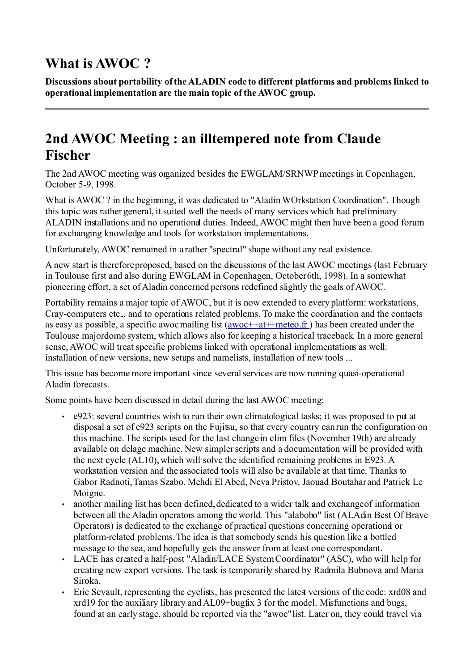## **What is AWOC ?**

**Discussions about portability of the ALADIN code to different platforms and problems linked to operational implementation are the main topic of the AWOC group.**

## **2nd AWOC Meeting : an illtempered note from Claude Fischer**

The 2nd AWOC meeting was organized besides the EWGLAM/SRNWP meetings in Copenhagen, October 5-9, 1998.

What is AWOC ? in the beginning, it was dedicated to "Aladin WOrkstation Coordination". Though this topic was rather general, it suited well the needs of many services which had preliminary ALADIN installations and no operational duties. Indeed, AWOC might then have been a good forum for exchanging knowledge and tools for workstation implementations.

Unfortunately, AWOC remained in a rather "spectral" shape without any real existence.

A new start is therefore proposed, based on the discussions of the last AWOC meetings (last February in Toulouse first and also during EWGLAM in Copenhagen, October 6th, 1998). In a somewhat pioneering effort, a set of Aladin concerned persons redefined slightly the goals of AWOC.

Portability remains a major topic of AWOC, but it is now extended to every platform: workstations, Cray-computers etc... and to operations related problems. To make the coordination and the contacts as easy as possible, a specific awoc mailing list  $(\frac{awoc++at+pmeto \cdot \hat{r}}{at})$  has been created under the Toulouse majordomo system, which allows also for keeping a historical traceback. In a more general sense, AWOC will treat specific problems linked with operational implementations as well: installation of new versions, new setups and namelists, installation of new tools ...

This issue has become more important since several services are now running quasi-operational Aladin forecasts.

Some points have been discussed in detail during the last AWOC meeting:

- e923: several countries wish to run their own climatological tasks; it was proposed to put at disposal a set of e923 scripts on the Fujitsu, so that every country can run the configuration on this machine.The scripts used for the last change in clim files (November 19th) are already available on delage machine. New simpler scripts and a documentation will be provided with the next cycle (AL10), which will solve the identified remaining problems in E923. A workstation version and the associated tools will also be available at that time. Thanks to Gabor Radnoti, Tamas Szabo, Mehdi El Abed, Neva Pristov, Jaouad Boutahar and Patrick Le Moigne.
- another mailing list has been defined, dedicated to a wider talk and exchange of information between all the Aladin operators among the world. This "alabobo" list (ALAdin Best Of Brave Operators) is dedicated to the exchange of practical questions concerning operational or platform-related problems. The idea is that somebody sends his question like a bottled message to the sea, and hopefully gets the answer from at least one correspondant.
- LACE has created a half-post "Aladin/LACE System Coordinator" (ASC), who will help for creating new export versions. The task is temporarily shared by Radmila Bubnova and Maria Siroka.
- Eric Sevault, representing the cyclists, has presented the latest versions of the code: xrd08 and xrd19 for the auxiliary library and AL09+bugfix 3 for the model. Misfunctions and bugs, found at an early stage, should be reported via the "awoc" list. Later on, they could travel via